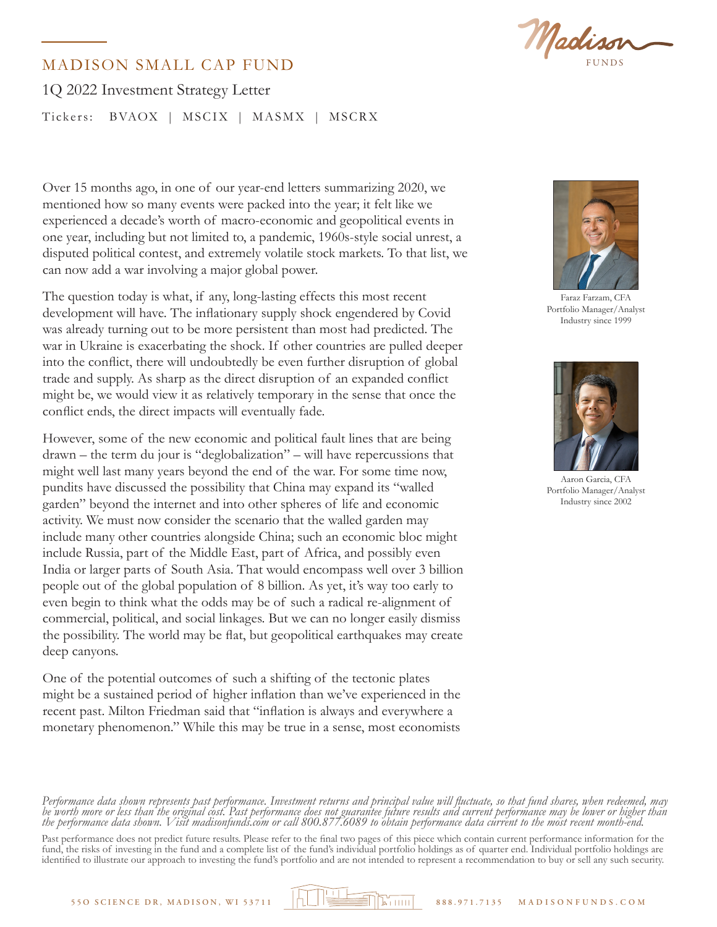# MADISON SMALL CAP FUND



1Q 2022 Investment Strategy Letter

Tickers: BVAOX | MSCIX | MASMX | MSCRX

Over 15 months ago, in one of our year-end letters summarizing 2020, we mentioned how so many events were packed into the year; it felt like we experienced a decade's worth of macro-economic and geopolitical events in one year, including but not limited to, a pandemic, 1960s-style social unrest, a disputed political contest, and extremely volatile stock markets. To that list, we can now add a war involving a major global power.

The question today is what, if any, long-lasting effects this most recent development will have. The inflationary supply shock engendered by Covid was already turning out to be more persistent than most had predicted. The war in Ukraine is exacerbating the shock. If other countries are pulled deeper into the conflict, there will undoubtedly be even further disruption of global trade and supply. As sharp as the direct disruption of an expanded conflict might be, we would view it as relatively temporary in the sense that once the conflict ends, the direct impacts will eventually fade.

However, some of the new economic and political fault lines that are being drawn – the term du jour is "deglobalization" – will have repercussions that might well last many years beyond the end of the war. For some time now, pundits have discussed the possibility that China may expand its "walled garden" beyond the internet and into other spheres of life and economic activity. We must now consider the scenario that the walled garden may include many other countries alongside China; such an economic bloc might include Russia, part of the Middle East, part of Africa, and possibly even India or larger parts of South Asia. That would encompass well over 3 billion people out of the global population of 8 billion. As yet, it's way too early to even begin to think what the odds may be of such a radical re-alignment of commercial, political, and social linkages. But we can no longer easily dismiss the possibility. The world may be flat, but geopolitical earthquakes may create deep canyons.

One of the potential outcomes of such a shifting of the tectonic plates might be a sustained period of higher inflation than we've experienced in the recent past. Milton Friedman said that "inflation is always and everywhere a monetary phenomenon." While this may be true in a sense, most economists



Faraz Farzam, CFA Portfolio Manager/Analyst Industry since 1999



Aaron Garcia, CFA Portfolio Manager/Analyst Industry since 2002

*Performance data shown represents past performance. Investment returns and principal value will fluctuate, so that fund shares, when redeemed, may be worth more or less than the original cost. Past performance does not guarantee future results and current performance may be lower or higher than the performance data shown. Visit madisonfunds.com or call 800.877.6089 to obtain performance data current to the most recent month-end.* 

Past performance does not predict future results. Please refer to the final two pages of this piece which contain current performance information for the fund, the risks of investing in the fund and a complete list of the fund's individual portfolio holdings as of quarter end. Individual portfolio holdings are identified to illustrate our approach to investing the fund's portfolio and are not intended to represent a recommendation to buy or sell any such security.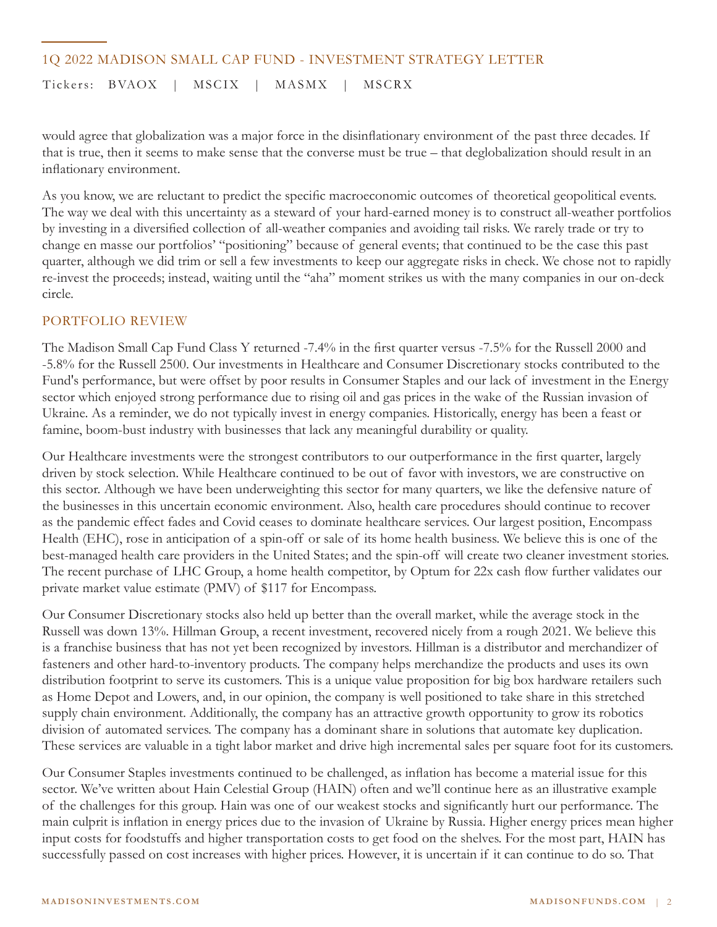# 1Q 2022 MADISON SMALL CAP FUND - INVESTMENT STRATEGY LETTER

Tickers: BVAOX | MSCIX | MASMX | MSCRX

would agree that globalization was a major force in the disinflationary environment of the past three decades. If that is true, then it seems to make sense that the converse must be true – that deglobalization should result in an inflationary environment.

As you know, we are reluctant to predict the specific macroeconomic outcomes of theoretical geopolitical events. The way we deal with this uncertainty as a steward of your hard-earned money is to construct all-weather portfolios by investing in a diversified collection of all-weather companies and avoiding tail risks. We rarely trade or try to change en masse our portfolios' "positioning" because of general events; that continued to be the case this past quarter, although we did trim or sell a few investments to keep our aggregate risks in check. We chose not to rapidly re-invest the proceeds; instead, waiting until the "aha" moment strikes us with the many companies in our on-deck circle.

# PORTFOLIO REVIEW

The Madison Small Cap Fund Class Y returned -7.4% in the first quarter versus -7.5% for the Russell 2000 and -5.8% for the Russell 2500. Our investments in Healthcare and Consumer Discretionary stocks contributed to the Fund's performance, but were offset by poor results in Consumer Staples and our lack of investment in the Energy sector which enjoyed strong performance due to rising oil and gas prices in the wake of the Russian invasion of Ukraine. As a reminder, we do not typically invest in energy companies. Historically, energy has been a feast or famine, boom-bust industry with businesses that lack any meaningful durability or quality.

Our Healthcare investments were the strongest contributors to our outperformance in the first quarter, largely driven by stock selection. While Healthcare continued to be out of favor with investors, we are constructive on this sector. Although we have been underweighting this sector for many quarters, we like the defensive nature of the businesses in this uncertain economic environment. Also, health care procedures should continue to recover as the pandemic effect fades and Covid ceases to dominate healthcare services. Our largest position, Encompass Health (EHC), rose in anticipation of a spin-off or sale of its home health business. We believe this is one of the best-managed health care providers in the United States; and the spin-off will create two cleaner investment stories. The recent purchase of LHC Group, a home health competitor, by Optum for 22x cash flow further validates our private market value estimate (PMV) of \$117 for Encompass.

Our Consumer Discretionary stocks also held up better than the overall market, while the average stock in the Russell was down 13%. Hillman Group, a recent investment, recovered nicely from a rough 2021. We believe this is a franchise business that has not yet been recognized by investors. Hillman is a distributor and merchandizer of fasteners and other hard-to-inventory products. The company helps merchandize the products and uses its own distribution footprint to serve its customers. This is a unique value proposition for big box hardware retailers such as Home Depot and Lowers, and, in our opinion, the company is well positioned to take share in this stretched supply chain environment. Additionally, the company has an attractive growth opportunity to grow its robotics division of automated services. The company has a dominant share in solutions that automate key duplication. These services are valuable in a tight labor market and drive high incremental sales per square foot for its customers.

Our Consumer Staples investments continued to be challenged, as inflation has become a material issue for this sector. We've written about Hain Celestial Group (HAIN) often and we'll continue here as an illustrative example of the challenges for this group. Hain was one of our weakest stocks and significantly hurt our performance. The main culprit is inflation in energy prices due to the invasion of Ukraine by Russia. Higher energy prices mean higher input costs for foodstuffs and higher transportation costs to get food on the shelves. For the most part, HAIN has successfully passed on cost increases with higher prices. However, it is uncertain if it can continue to do so. That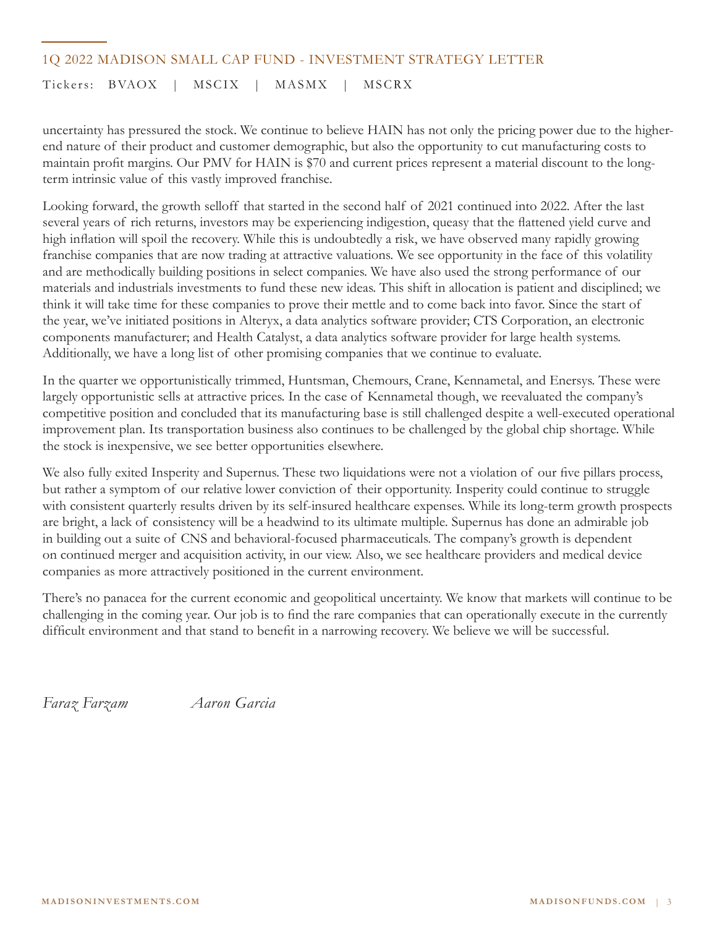# 1Q 2022 MADISON SMALL CAP FUND - INVESTMENT STRATEGY LETTER

Tickers: BVAOX | MSCIX | MASMX | MSCRX

uncertainty has pressured the stock. We continue to believe HAIN has not only the pricing power due to the higherend nature of their product and customer demographic, but also the opportunity to cut manufacturing costs to maintain profit margins. Our PMV for HAIN is \$70 and current prices represent a material discount to the longterm intrinsic value of this vastly improved franchise.

Looking forward, the growth selloff that started in the second half of 2021 continued into 2022. After the last several years of rich returns, investors may be experiencing indigestion, queasy that the flattened yield curve and high inflation will spoil the recovery. While this is undoubtedly a risk, we have observed many rapidly growing franchise companies that are now trading at attractive valuations. We see opportunity in the face of this volatility and are methodically building positions in select companies. We have also used the strong performance of our materials and industrials investments to fund these new ideas. This shift in allocation is patient and disciplined; we think it will take time for these companies to prove their mettle and to come back into favor. Since the start of the year, we've initiated positions in Alteryx, a data analytics software provider; CTS Corporation, an electronic components manufacturer; and Health Catalyst, a data analytics software provider for large health systems. Additionally, we have a long list of other promising companies that we continue to evaluate.

In the quarter we opportunistically trimmed, Huntsman, Chemours, Crane, Kennametal, and Enersys. These were largely opportunistic sells at attractive prices. In the case of Kennametal though, we reevaluated the company's competitive position and concluded that its manufacturing base is still challenged despite a well-executed operational improvement plan. Its transportation business also continues to be challenged by the global chip shortage. While the stock is inexpensive, we see better opportunities elsewhere.

We also fully exited Insperity and Supernus. These two liquidations were not a violation of our five pillars process, but rather a symptom of our relative lower conviction of their opportunity. Insperity could continue to struggle with consistent quarterly results driven by its self-insured healthcare expenses. While its long-term growth prospects are bright, a lack of consistency will be a headwind to its ultimate multiple. Supernus has done an admirable job in building out a suite of CNS and behavioral-focused pharmaceuticals. The company's growth is dependent on continued merger and acquisition activity, in our view. Also, we see healthcare providers and medical device companies as more attractively positioned in the current environment.

There's no panacea for the current economic and geopolitical uncertainty. We know that markets will continue to be challenging in the coming year. Our job is to find the rare companies that can operationally execute in the currently difficult environment and that stand to benefit in a narrowing recovery. We believe we will be successful.

*Faraz Farzam Aaron Garcia*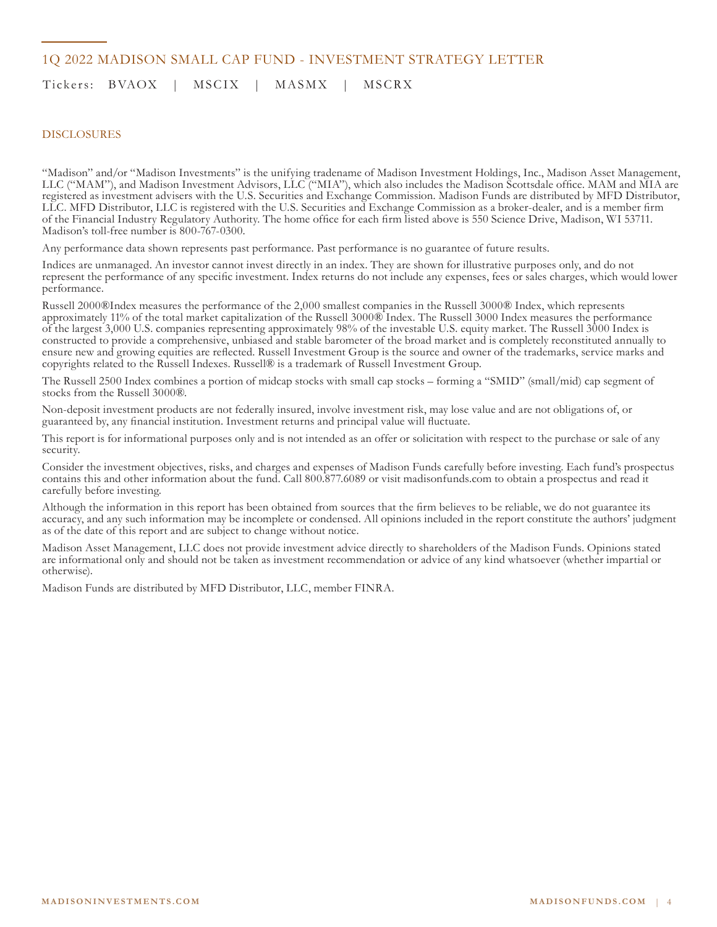## 1Q 2022 MADISON SMALL CAP FUND - INVESTMENT STRATEGY LETTER

# Tickers: BVAOX | MSCIX | MASMX | MSCRX

### DISCLOSURES

"Madison" and/or "Madison Investments" is the unifying tradename of Madison Investment Holdings, Inc., Madison Asset Management, LLC ("MAM"), and Madison Investment Advisors, LLC ("MIA"), which also includes the Madison Scottsdale office. MAM and MIA are registered as investment advisers with the U.S. Securities and Exchange Commission. Madison Funds are distributed by MFD Distributor, LLC. MFD Distributor, LLC is registered with the U.S. Securities and Exchange Commission as a broker-dealer, and is a member firm of the Financial Industry Regulatory Authority. The home office for each firm listed above is 550 Science Drive, Madison, WI 53711. Madison's toll-free number is 800-767-0300.

Any performance data shown represents past performance. Past performance is no guarantee of future results.

Indices are unmanaged. An investor cannot invest directly in an index. They are shown for illustrative purposes only, and do not represent the performance of any specific investment. Index returns do not include any expenses, fees or sales charges, which would lower performance.

Russell 2000®Index measures the performance of the 2,000 smallest companies in the Russell 3000® Index, which represents approximately 11% of the total market capitalization of the Russell 3000® Index. The Russell 3000 Index measures the performance of the largest 3,000 U.S. companies representing approximately 98% of the investable U.S. equity market. The Russell 3000 Index is constructed to provide a comprehensive, unbiased and stable barometer of the broad market and is completely reconstituted annually to ensure new and growing equities are reflected. Russell Investment Group is the source and owner of the trademarks, service marks and copyrights related to the Russell Indexes. Russell® is a trademark of Russell Investment Group.

The Russell 2500 Index combines a portion of midcap stocks with small cap stocks – forming a "SMID" (small/mid) cap segment of stocks from the Russell 3000®.

Non-deposit investment products are not federally insured, involve investment risk, may lose value and are not obligations of, or guaranteed by, any financial institution. Investment returns and principal value will fluctuate.

This report is for informational purposes only and is not intended as an offer or solicitation with respect to the purchase or sale of any security.

Consider the investment objectives, risks, and charges and expenses of Madison Funds carefully before investing. Each fund's prospectus contains this and other information about the fund. Call 800.877.6089 or visit madisonfunds.com to obtain a prospectus and read it carefully before investing.

Although the information in this report has been obtained from sources that the firm believes to be reliable, we do not guarantee its accuracy, and any such information may be incomplete or condensed. All opinions included in the report constitute the authors' judgment as of the date of this report and are subject to change without notice.

Madison Asset Management, LLC does not provide investment advice directly to shareholders of the Madison Funds. Opinions stated are informational only and should not be taken as investment recommendation or advice of any kind whatsoever (whether impartial or otherwise).

Madison Funds are distributed by MFD Distributor, LLC, member FINRA.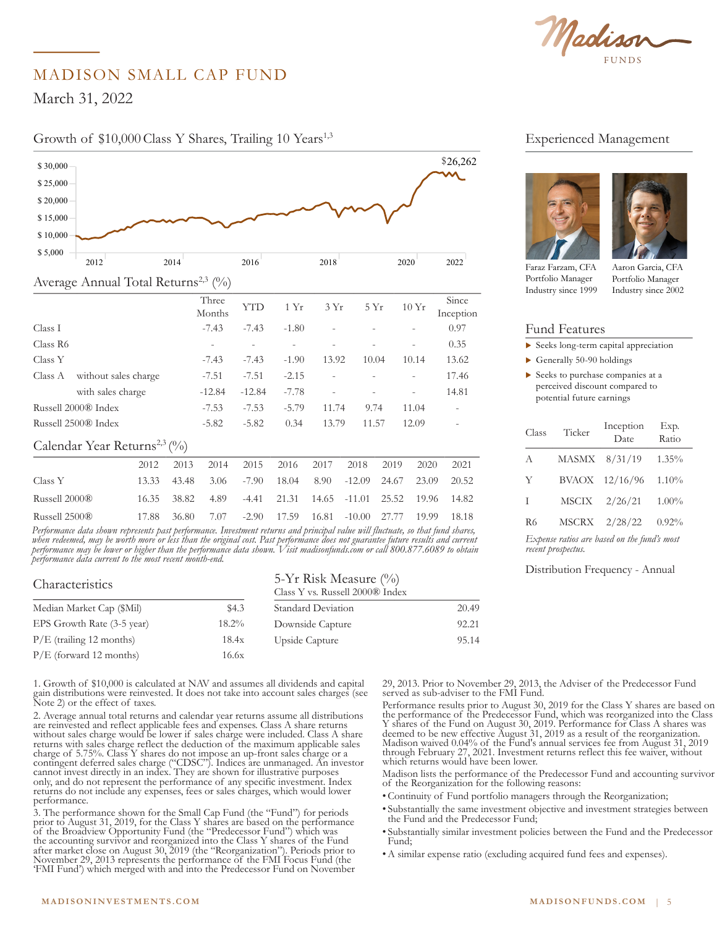

# MADISON SMALL CAP FUND

March 31, 2022 \$ 15,000

### Growth of \$10,000 Class Y Shares, Trailing 10 Years<sup>1,3</sup>  $\overline{a}$



|               | 2012. | 2013        | 2014 | 2015 2016 2017 | 2018                                                 | 2019 | 2020        | 2021   |
|---------------|-------|-------------|------|----------------|------------------------------------------------------|------|-------------|--------|
| Class Y       |       |             |      |                | 13.33 43.48 3.06 -7.90 18.04 8.90 -12.09 24.67 23.09 |      |             | -20.52 |
| Russell 2000® |       | 16.35 38.82 | 4.89 |                | -4.41 21.31 14.65 -11.01 25.52 19.96 14.82           |      |             |        |
| Russell 2500® | 17.88 | 36.80       |      |                | 7.07 -2.90 17.59 16.81 -10.00 27.77                  |      | 19.99 18.18 |        |

Performance data shown represents past performance. Investment returns and principal value will fluctuate, so that fund shares, *when redeemed, may be worth more or less than the original cost. Past performance does not guarantee future results and current*  \$ 14,000 *performance may be lower or higher than the performance data shown. Visit madisonfunds.com or call 800.877.6089 to obtain*  performance data current to the most recent month-end. erformance may be .

| Characteristics            |          | 5-Yr Risk Measure $(\%)$<br>Class Y vs. Russell 2000® Index |       |  |
|----------------------------|----------|-------------------------------------------------------------|-------|--|
| Median Market Cap (\$Mil)  | \$4.3    | Standard Deviation                                          | 20.49 |  |
| EPS Growth Rate (3-5 year) | $18.2\%$ | Downside Capture                                            | 92.21 |  |
| $P/E$ (trailing 12 months) | 18.4x    | Upside Capture                                              | 95.14 |  |
| $P/E$ (forward 12 months)  | 16.6x    |                                                             |       |  |

1. Growth of \$10,000 is calculated at NAV and assumes all dividends and capital gain distributions were reinvested. It does not take into account sales charges (see gain distributions were remves<br>Note 2) or the effect of taxes.  $G_{\text{row}}$ 

2. Average annual total returns and calendar year returns assume all distributions are reinvested and reflect applicable fees and expenses. Class A share returns without sales charge would be lower if sales charge were included. Class A share returns with sales charge reflect the deduction of the maximum applicable sales charge of 5.75%. Class Y shares do not impose an up-front sales charge or a contingent deferred sales charge ("CDSC"). Indices are unmanaged. An investor cannot invest directly in an index. They are shown for illustrative purposes only, and do not represent the performance of any specific investment. Index returns do not include any expenses, fees or sales charges, which would lower performance.  $\epsilon_{\text{e}}$   $\epsilon_{\text{e}}$   $\epsilon_{\text{e}}$  and  $\epsilon_{\text{e}}$   $\epsilon_{\text{e}}$   $\epsilon_{\text{e}}$   $\epsilon_{\text{e}}$   $\epsilon_{\text{e}}$   $\epsilon_{\text{e}}$   $\epsilon_{\text{e}}$   $\epsilon_{\text{e}}$   $\epsilon_{\text{e}}$   $\epsilon_{\text{e}}$   $\epsilon_{\text{e}}$   $\epsilon_{\text{e}}$   $\epsilon_{\text{e}}$   $\epsilon_{\text{e}}$   $\epsilon_{\text{e}}$   $\epsilon_{\text{e}}$   $\epsilon_{\text{e$ 

3. The performance shown for the Small Cap Fund (the "Fund") for periods prior to August 31, 2019, for the Class Y shares are based on the performance of the Broadview Opportunity Fund (the "Predecessor Fund") which was the accounting survivor and reorganized into the Class Y shares of the Fund after market close on August 30, 2019 (the "Reorganization"). Periods prior to November 29, 2013 represents the performance of the FMI Focus Fund (the 'FMI Fund') which merged with and into the Predecessor Fund on November

# Experienced Management





Faraz Farzam, CFA Portfolio Manager Industry since 1999

Aaron Garcia, CFA Portfolio Manager Industry since 2002

### Fund Features

- $\blacktriangleright$  Seeks long-term capital appreciation
- $\blacktriangleright$  Generally 50-90 holdings
- $\blacktriangleright$  Seeks to purchase companies at a perceived discount compared to potential future earnings

| Class                                                             | Ticker       | Inception<br>Date | Exp.<br>Ratio |  |  |  |  |
|-------------------------------------------------------------------|--------------|-------------------|---------------|--|--|--|--|
| A                                                                 | MASMX        | 8/31/19           | $1.35\%$      |  |  |  |  |
| Y                                                                 | BVAOX        | 12/16/96          | 1.10%         |  |  |  |  |
| T                                                                 | MSCIX        | 2/26/21           | $1.00\%$      |  |  |  |  |
| R <sub>6</sub>                                                    | <b>MSCRX</b> | 2/28/22           | 0.92%         |  |  |  |  |
| Expense ratios are based on the fund's most<br>recent prospectus. |              |                   |               |  |  |  |  |

### Distribution Frequency - Annual

29, 2013. Prior to November 29, 2013, the Adviser of the Predecessor Fund served as sub-adviser to the FMI Fund.

Performance results prior to August 30, 2019 for the Class Y shares are based on the performance of the Predecessor Fund, which was reorganized into the Class Y shares of the Fund on August 30, 2019. Performance for Class A shares was deemed to be new effective August 31, 2019 as a result of the reorganization. Madison waived 0.04% of the Fund's annual services fee from August 31, 2019 through February 27, 2021. Investment returns reflect this fee waiver, without which returns would have been lower.

Madison lists the performance of the Predecessor Fund and accounting survivor of the Reorganization for the following reasons:

- •Continuity of Fund portfolio managers through the Reorganization;
- Substantially the same investment objective and investment strategies between the Fund and the Predecessor Fund;
- Substantially similar investment policies between the Fund and the Predecessor Fund;
- •A similar expense ratio (excluding acquired fund fees and expenses).

 $\frac{1}{\sqrt{16}}$